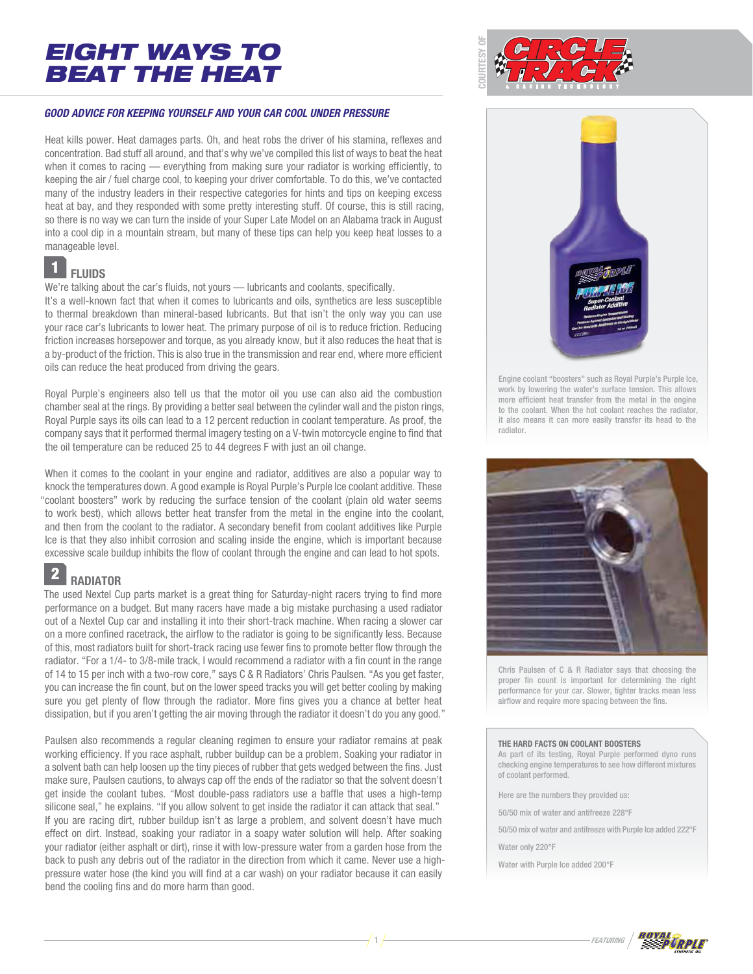

### **GOOD ADVICE FOR KEEPING YOURSELF AND YOUR CAR COOL UNDER PRESSURE**

Heat kills power. Heat damages parts. Oh, and heat robs the driver of his stamina, reflexes and concentration. Bad stuff all around, and that's why we've compiled this list of ways to beat the heat when it comes to racing — everything from making sure your radiator is working efficiently, to keeping the air / fuel charge cool, to keeping your driver comfortable. To do this, we've contacted many of the industry leaders in their respective categories for hints and tips on keeping excess heat at bay, and they responded with some pretty interesting stuff. Of course, this is still racing, so there is no way we can turn the inside of your Super Late Model on an Alabama track in August into a cool dip in a mountain stream, but many of these tips can help you keep heat losses to a manageable level.

### **FLUIDS** 1

We're talking about the car's fluids, not yours - lubricants and coolants, specifically.

It's a well-known fact that when it comes to lubricants and oils, synthetics are less susceptible to thermal breakdown than mineral-based lubricants. But that isn't the only way you can use your race car's lubricants to lower heat. The primary purpose of oil is to reduce friction. Reducing friction increases horsepower and torque, as you already know, but it also reduces the heat that is a by-product of the friction. This is also true in the transmission and rear end, where more efficient oils can reduce the heat produced from driving the gears.

Royal Purple's engineers also tell us that the motor oil you use can also aid the combustion chamber seal at the rings. By providing a better seal between the cylinder wall and the piston rings, Royal Purple says its oils can lead to a 12 percent reduction in coolant temperature. As proof, the company says that it performed thermal imagery testing on a V-twin motorcycle engine to find that the oil temperature can be reduced 25 to 44 degrees F with just an oil change.

When it comes to the coolant in your engine and radiator, additives are also a popular way to knock the temperatures down. A good example is Royal Purple's Purple Ice coolant additive. These "coolant boosters" work by reducing the surface tension of the coolant (plain old water seems to work best), which allows better heat transfer from the metal in the engine into the coolant, and then from the coolant to the radiator. A secondary benefit from coolant additives like Purple Ice is that they also inhibit corrosion and scaling inside the engine, which is important because excessive scale buildup inhibits the flow of coolant through the engine and can lead to hot spots.

### **RADIATOR** 2

The used Nextel Cup parts market is a great thing for Saturday-night racers trying to find more performance on a budget. But many racers have made a big mistake purchasing a used radiator out of a Nextel Cup car and installing it into their short-track machine. When racing a slower car on a more confined racetrack, the airflow to the radiator is going to be significantly less. Because of this, most radiators built for short-track racing use fewer fins to promote better flow through the radiator. "For a 1/4- to 3/8-mile track, I would recommend a radiator with a fin count in the range of 14 to 15 per inch with a two-row core," says C & R Radiators' Chris Paulsen. "As you get faster, you can increase the fin count, but on the lower speed tracks you will get better cooling by making sure you get plenty of flow through the radiator. More fins gives you a chance at better heat dissipation, but if you aren't getting the air moving through the radiator it doesn't do you any good."

Paulsen also recommends a regular cleaning regimen to ensure your radiator remains at peak working efficiency. If you race asphalt, rubber buildup can be a problem. Soaking your radiator in a solvent bath can help loosen up the tiny pieces of rubber that gets wedged between the fins. Just make sure, Paulsen cautions, to always cap off the ends of the radiator so that the solvent doesn't get inside the coolant tubes. "Most double-pass radiators use a baffle that uses a high-temp silicone seal," he explains. "If you allow solvent to get inside the radiator it can attack that seal." If you are racing dirt, rubber buildup isn't as large a problem, and solvent doesn't have much effect on dirt. Instead, soaking your radiator in a soapy water solution will help. After soaking your radiator (either asphalt or dirt), rinse it with low-pressure water from a garden hose from the back to push any debris out of the radiator in the direction from which it came. Never use a highpressure water hose (the kind you will find at a car wash) on your radiator because it can easily bend the cooling fins and do more harm than good.



Engine coolant "boosters" such as Royal Purple's Purple Ice, work by lowering the water's surface tension. This allows more efficient heat transfer from the metal in the engine to the coolant. When the hot coolant reaches the radiator, it also means it can more easily transfer its head to the radiator.



Chris Paulsen of C & R Radiator says that choosing the proper fin count is important for determining the right performance for your car. Slower, tighter tracks mean less airflow and require more spacing between the fins.

#### **THE HARD FACTS ON COOLANT BOOSTERS**

As part of its testing, Royal Purple performed dyno runs checking engine temperatures to see how different mixtures of coolant performed.

Here are the numbers they provided us:

50/50 mix of water and antifreeze 228°F

50/50 mix of water and antifreeze with Purple Ice added 222°F

Water only 220°F

Water with Purple Ice added 200°F

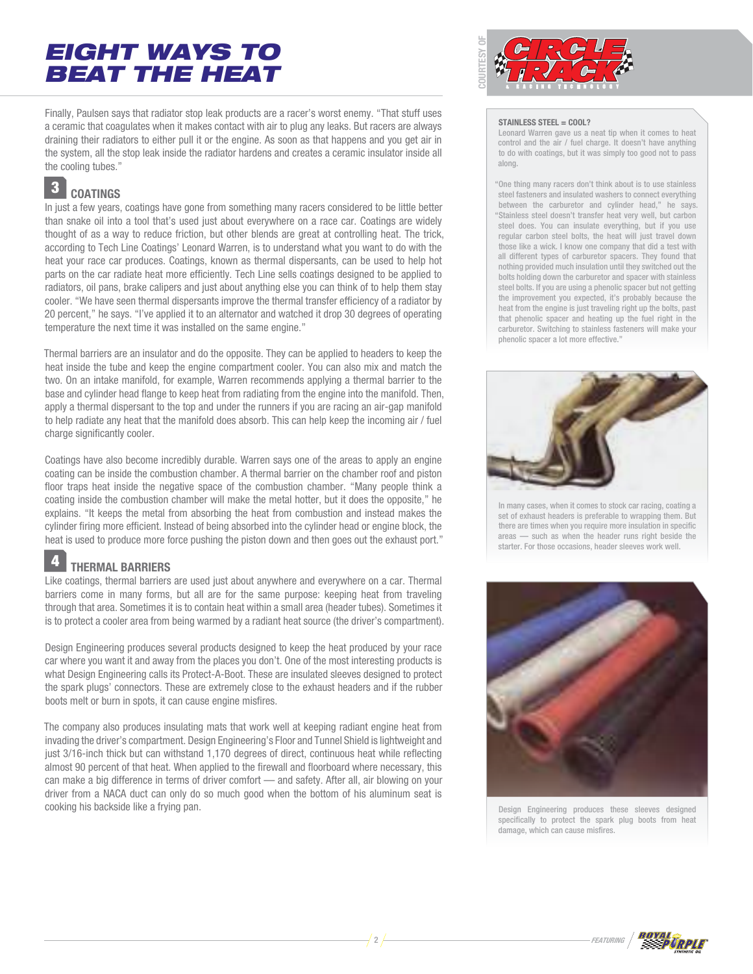Finally, Paulsen says that radiator stop leak products are a racer's worst enemy. "That stuff uses a ceramic that coagulates when it makes contact with air to plug any leaks. But racers are always draining their radiators to either pull it or the engine. As soon as that happens and you get air in the system, all the stop leak inside the radiator hardens and creates a ceramic insulator inside all the cooling tubes."

#### **COATINGS** 3

In just a few years, coatings have gone from something many racers considered to be little better than snake oil into a tool that's used just about everywhere on a race car. Coatings are widely thought of as a way to reduce friction, but other blends are great at controlling heat. The trick, according to Tech Line Coatings' Leonard Warren, is to understand what you want to do with the heat your race car produces. Coatings, known as thermal dispersants, can be used to help hot parts on the car radiate heat more efficiently. Tech Line sells coatings designed to be applied to radiators, oil pans, brake calipers and just about anything else you can think of to help them stay cooler. "We have seen thermal dispersants improve the thermal transfer efficiency of a radiator by 20 percent," he says. "I've applied it to an alternator and watched it drop 30 degrees of operating temperature the next time it was installed on the same engine."

Thermal barriers are an insulator and do the opposite. They can be applied to headers to keep the heat inside the tube and keep the engine compartment cooler. You can also mix and match the two. On an intake manifold, for example, Warren recommends applying a thermal barrier to the base and cylinder head flange to keep heat from radiating from the engine into the manifold. Then, apply a thermal dispersant to the top and under the runners if you are racing an air-gap manifold to help radiate any heat that the manifold does absorb. This can help keep the incoming air / fuel charge significantly cooler.

Coatings have also become incredibly durable. Warren says one of the areas to apply an engine coating can be inside the combustion chamber. A thermal barrier on the chamber roof and piston floor traps heat inside the negative space of the combustion chamber. "Many people think a coating inside the combustion chamber will make the metal hotter, but it does the opposite," he explains. "It keeps the metal from absorbing the heat from combustion and instead makes the cylinder firing more efficient. Instead of being absorbed into the cylinder head or engine block, the heat is used to produce more force pushing the piston down and then goes out the exhaust port."

#### **THERMAL BARRIERS** 4

Like coatings, thermal barriers are used just about anywhere and everywhere on a car. Thermal barriers come in many forms, but all are for the same purpose: keeping heat from traveling through that area. Sometimes it is to contain heat within a small area (header tubes). Sometimes it is to protect a cooler area from being warmed by a radiant heat source (the driver's compartment).

Design Engineering produces several products designed to keep the heat produced by your race car where you want it and away from the places you don't. One of the most interesting products is what Design Engineering calls its Protect-A-Boot. These are insulated sleeves designed to protect the spark plugs' connectors. These are extremely close to the exhaust headers and if the rubber boots melt or burn in spots, it can cause engine misfires.

The company also produces insulating mats that work well at keeping radiant engine heat from invading the driver's compartment. Design Engineering's Floor and Tunnel Shield is lightweight and just 3/16-inch thick but can withstand 1,170 degrees of direct, continuous heat while reflecting almost 90 percent of that heat. When applied to the firewall and floorboard where necessary, this can make a big difference in terms of driver comfort — and safety. After all, air blowing on your driver from a NACA duct can only do so much good when the bottom of his aluminum seat is cooking his backside like a frying pan.



#### **STAINLESS STEEL = COOL?**

Leonard Warren gave us a neat tip when it comes to heat control and the air / fuel charge. It doesn't have anything to do with coatings, but it was simply too good not to pass along.

"One thing many racers don't think about is to use stainless steel fasteners and insulated washers to connect everything between the carburetor and cylinder head," he says. "Stainless steel doesn't transfer heat very well, but carbon steel does. You can insulate everything, but if you use regular carbon steel bolts, the heat will just travel down those like a wick. I know one company that did a test with all different types of carburetor spacers. They found that nothing provided much insulation until they switched out the bolts holding down the carburetor and spacer with stainless steel bolts. If you are using a phenolic spacer but not getting the improvement you expected, it's probably because the heat from the engine is just traveling right up the bolts, past that phenolic spacer and heating up the fuel right in the carburetor. Switching to stainless fasteners will make your phenolic spacer a lot more effective."



In many cases, when it comes to stock car racing, coating a set of exhaust headers is preferable to wrapping them. But there are times when you require more insulation in specific areas — such as when the header runs right beside the starter. For those occasions, header sleeves work well.



Design Engineering produces these sleeves designed specifically to protect the spark plug boots from heat damage, which can cause misfires.

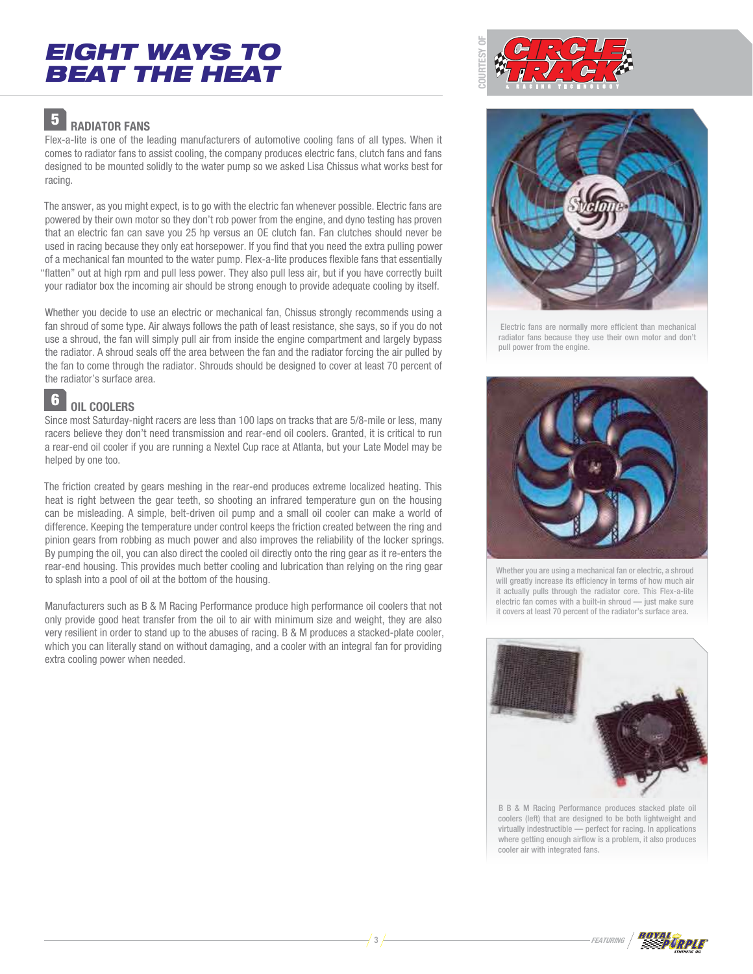

#### **RADIATOR FANS** 5

Flex-a-lite is one of the leading manufacturers of automotive cooling fans of all types. When it comes to radiator fans to assist cooling, the company produces electric fans, clutch fans and fans designed to be mounted solidly to the water pump so we asked Lisa Chissus what works best for racing.

The answer, as you might expect, is to go with the electric fan whenever possible. Electric fans are powered by their own motor so they don't rob power from the engine, and dyno testing has proven that an electric fan can save you 25 hp versus an OE clutch fan. Fan clutches should never be used in racing because they only eat horsepower. If you find that you need the extra pulling power of a mechanical fan mounted to the water pump. Flex-a-lite produces flexible fans that essentially "flatten" out at high rpm and pull less power. They also pull less air, but if you have correctly built your radiator box the incoming air should be strong enough to provide adequate cooling by itself.

Whether you decide to use an electric or mechanical fan, Chissus strongly recommends using a fan shroud of some type. Air always follows the path of least resistance, she says, so if you do not use a shroud, the fan will simply pull air from inside the engine compartment and largely bypass the radiator. A shroud seals off the area between the fan and the radiator forcing the air pulled by the fan to come through the radiator. Shrouds should be designed to cover at least 70 percent of the radiator's surface area.

#### **OIL COOLERS** 6

Since most Saturday-night racers are less than 100 laps on tracks that are 5/8-mile or less, many racers believe they don't need transmission and rear-end oil coolers. Granted, it is critical to run a rear-end oil cooler if you are running a Nextel Cup race at Atlanta, but your Late Model may be helped by one too.

The friction created by gears meshing in the rear-end produces extreme localized heating. This heat is right between the gear teeth, so shooting an infrared temperature gun on the housing can be misleading. A simple, belt-driven oil pump and a small oil cooler can make a world of difference. Keeping the temperature under control keeps the friction created between the ring and pinion gears from robbing as much power and also improves the reliability of the locker springs. By pumping the oil, you can also direct the cooled oil directly onto the ring gear as it re-enters the rear-end housing. This provides much better cooling and lubrication than relying on the ring gear to splash into a pool of oil at the bottom of the housing.

Manufacturers such as B & M Racing Performance produce high performance oil coolers that not only provide good heat transfer from the oil to air with minimum size and weight, they are also very resilient in order to stand up to the abuses of racing. B & M produces a stacked-plate cooler, which you can literally stand on without damaging, and a cooler with an integral fan for providing extra cooling power when needed.



 Electric fans are normally more efficient than mechanical radiator fans because they use their own motor and don't pull power from the engine.



Whether you are using a mechanical fan or electric, a shroud will greatly increase its efficiency in terms of how much air it actually pulls through the radiator core. This Flex-a-lite electric fan comes with a built-in shroud — just make sure it covers at least 70 percent of the radiator's surface area.



B B & M Racing Performance produces stacked plate oil coolers (left) that are designed to be both lightweight and virtually indestructible — perfect for racing. In applications where getting enough airflow is a problem, it also produces cooler air with integrated fans.